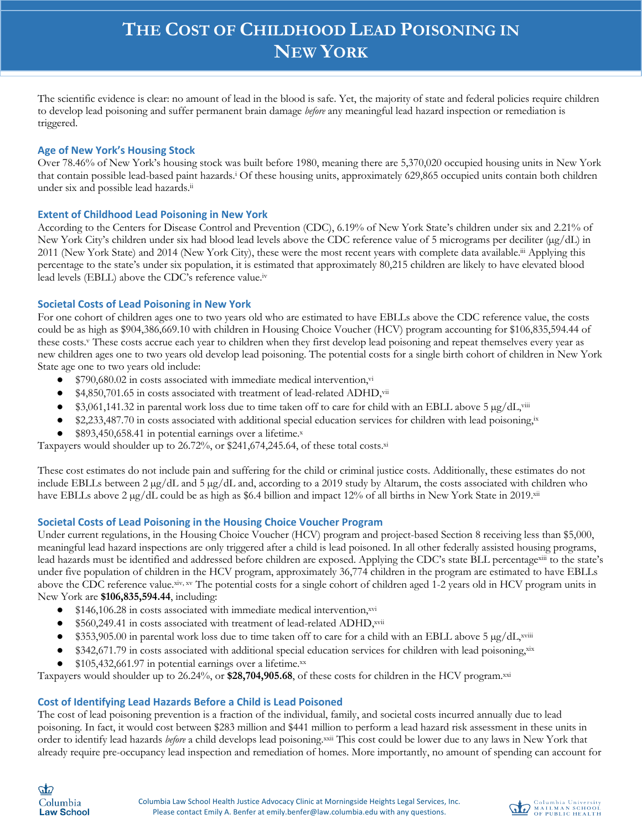The scientific evidence is clear: no amount of lead in the blood is safe. Yet, the majority of state and federal policies require children to develop lead poisoning and suffer permanent brain damage *before* any meaningful lead hazard inspection or remediation is triggered.

### **Age of New York's Housing Stock**

Over 78.46% of New York's housing stock was built before 1980, meaning there are 5,370,020 occupied housing units in New York that contain possible lead-based paint hazards.i Of these housing units, approximately 629,865 occupied units contain both children under six and possible lead hazards.ii

#### **Extent of Childhood Lead Poisoning in New York**

According to the Centers for Disease Control and Prevention (CDC), 6.19% of New York State's children under six and 2.21% of New York City's children under six had blood lead levels above the CDC reference value of 5 micrograms per deciliter ( $\mu$ g/dL) in 2011 (New York State) and 2014 (New York City), these were the most recent years with complete data available.<sup>iii</sup> Applying this percentage to the state's under six population, it is estimated that approximately 80,215 children are likely to have elevated blood lead levels (EBLL) above the CDC's reference value.iv

#### **Societal Costs of Lead Poisoning in New York**

For one cohort of children ages one to two years old who are estimated to have EBLLs above the CDC reference value, the costs could be as high as \$904,386,669.10 with children in Housing Choice Voucher (HCV) program accounting for \$106,835,594.44 of these costs.<sup>v</sup> These costs accrue each year to children when they first develop lead poisoning and repeat themselves every year as new children ages one to two years old develop lead poisoning. The potential costs for a single birth cohort of children in New York State age one to two years old include:

- $$790,680.02$  in costs associated with immediate medical intervention, vi
- \$4,850,701.65 in costs associated with treatment of lead-related ADHD,vii
- \$3,061,141.32 in parental work loss due to time taken off to care for child with an EBLL above 5  $\mu$ g/dL,<sup>viii</sup>
- \$2,233,487.70 in costs associated with additional special education services for children with lead poisoning,<sup>ix</sup>
- \$893,450,658.41 in potential earnings over a lifetime. $x$

Taxpayers would shoulder up to 26.72%, or \$241,674,245.64, of these total costs.xi

These cost estimates do not include pain and suffering for the child or criminal justice costs. Additionally, these estimates do not include EBLLs between 2 µg/dL and 5 µg/dL and, according to a 2019 study by Altarum, the costs associated with children who have EBLLs above 2 µg/dL could be as high as \$6.4 billion and impact 12% of all births in New York State in 2019.xii

#### **Societal Costs of Lead Poisoning in the Housing Choice Voucher Program**

Under current regulations, in the Housing Choice Voucher (HCV) program and project-based Section 8 receiving less than \$5,000, meaningful lead hazard inspections are only triggered after a child is lead poisoned. In all other federally assisted housing programs, lead hazards must be identified and addressed before children are exposed. Applying the CDC's state BLL percentagexiii to the state's under five population of children in the HCV program, approximately 36,774 children in the program are estimated to have EBLLs above the CDC reference value.xiv, xv The potential costs for a single cohort of children aged 1-2 years old in HCV program units in New York are **\$106,835,594.44**, including:

- \$146,106.28 in costs associated with immediate medical intervention, xvi
- \$560,249.41 in costs associated with treatment of lead-related ADHD, xvii
- \$353,905.00 in parental work loss due to time taken off to care for a child with an EBLL above 5  $\mu$ g/dL,<sup>xviii</sup>
- \$342,671.79 in costs associated with additional special education services for children with lead poisoning,xix
- $$105,432,661.97$  in potential earnings over a lifetime.xx

Taxpayers would shoulder up to 26.24%, or **\$28,704,905.68**, of these costs for children in the HCV program.xxi

#### **Cost of Identifying Lead Hazards Before a Child is Lead Poisoned**

The cost of lead poisoning prevention is a fraction of the individual, family, and societal costs incurred annually due to lead poisoning. In fact, it would cost between \$283 million and \$441 million to perform a lead hazard risk assessment in these units in order to identify lead hazards *before* a child develops lead poisoning.xxii This cost could be lower due to any laws in New York that already require pre-occupancy lead inspection and remediation of homes. More importantly, no amount of spending can account for

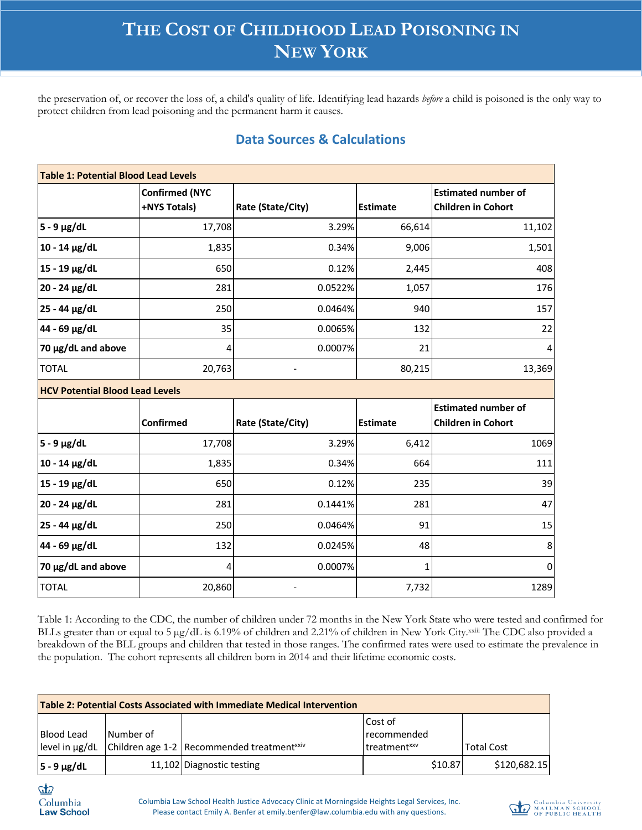the preservation of, or recover the loss of, a child's quality of life. Identifying lead hazards *before* a child is poisoned is the only way to protect children from lead poisoning and the permanent harm it causes.

| <b>Data Sources &amp; Calculations</b> |  |
|----------------------------------------|--|
|----------------------------------------|--|

| <b>Table 1: Potential Blood Lead Levels</b> |                                       |                   |                 |                                                         |  |
|---------------------------------------------|---------------------------------------|-------------------|-----------------|---------------------------------------------------------|--|
|                                             | <b>Confirmed (NYC</b><br>+NYS Totals) | Rate (State/City) | <b>Estimate</b> | <b>Estimated number of</b><br><b>Children in Cohort</b> |  |
| $5 - 9$ µg/dL                               | 17,708                                | 3.29%             | 66,614          | 11,102                                                  |  |
| $10 - 14$ µg/dL                             | 1,835                                 | 0.34%             | 9,006           | 1,501                                                   |  |
| 15 - 19 μg/dL                               | 650                                   | 0.12%             | 2,445           | 408                                                     |  |
| 20 - 24 µg/dL                               | 281                                   | 0.0522%           | 1,057           | 176                                                     |  |
| 25 - 44 µg/dL                               | 250                                   | 0.0464%           | 940             | 157                                                     |  |
| 44 - 69 µg/dL                               | 35                                    | 0.0065%           | 132             | 22                                                      |  |
| 70 µg/dL and above                          | 4                                     | 0.0007%           | 21              | 4                                                       |  |
| <b>TOTAL</b>                                | 20,763                                |                   | 80,215          | 13,369                                                  |  |
| <b>HCV Potential Blood Lead Levels</b>      |                                       |                   |                 |                                                         |  |
|                                             |                                       |                   |                 | <b>Estimated number of</b>                              |  |
|                                             | <b>Confirmed</b>                      | Rate (State/City) | <b>Estimate</b> | <b>Children in Cohort</b>                               |  |
| $5 - 9$ µg/dL                               | 17,708                                | 3.29%             | 6,412           | 1069                                                    |  |
| $10 - 14$ µg/dL                             | 1,835                                 | 0.34%             | 664             | 111                                                     |  |
| 15 - 19 µg/dL                               | 650                                   | 0.12%             | 235             | 39                                                      |  |
| 20 - 24 µg/dL                               | 281                                   | 0.1441%           | 281             | 47                                                      |  |
| 25 - 44 µg/dL                               | 250                                   | 0.0464%           | 91              | 15                                                      |  |
| 44 - 69 µg/dL                               | 132                                   | 0.0245%           | 48              | 8                                                       |  |
| 70 µg/dL and above                          | 4                                     | 0.0007%           | 1               | 0                                                       |  |
| <b>TOTAL</b>                                | 20,860                                |                   | 7,732           | 1289                                                    |  |

Table 1: According to the CDC, the number of children under 72 months in the New York State who were tested and confirmed for BLLs greater than or equal to 5 µg/dL is 6.19% of children and 2.21% of children in New York City.xxiii The CDC also provided a breakdown of the BLL groups and children that tested in those ranges. The confirmed rates were used to estimate the prevalence in the population. The cohort represents all children born in 2014 and their lifetime economic costs.

| Table 2: Potential Costs Associated with Immediate Medical Intervention |           |                                                          |                          |                   |  |
|-------------------------------------------------------------------------|-----------|----------------------------------------------------------|--------------------------|-------------------|--|
|                                                                         |           |                                                          | Cost of                  |                   |  |
| <b>Blood Lead</b>                                                       | Number of |                                                          | <b>recommended</b>       |                   |  |
| level in ug/dL                                                          |           | Children age 1-2   Recommended treatment <sup>xxiv</sup> | treatment <sup>xxv</sup> | <b>Total Cost</b> |  |
| $5 - 9$ µg/dL                                                           |           | 11,102 Diagnostic testing                                | \$10.87                  | \$120,682.15      |  |

 $\boldsymbol{d}$ Columbia **Law School** 

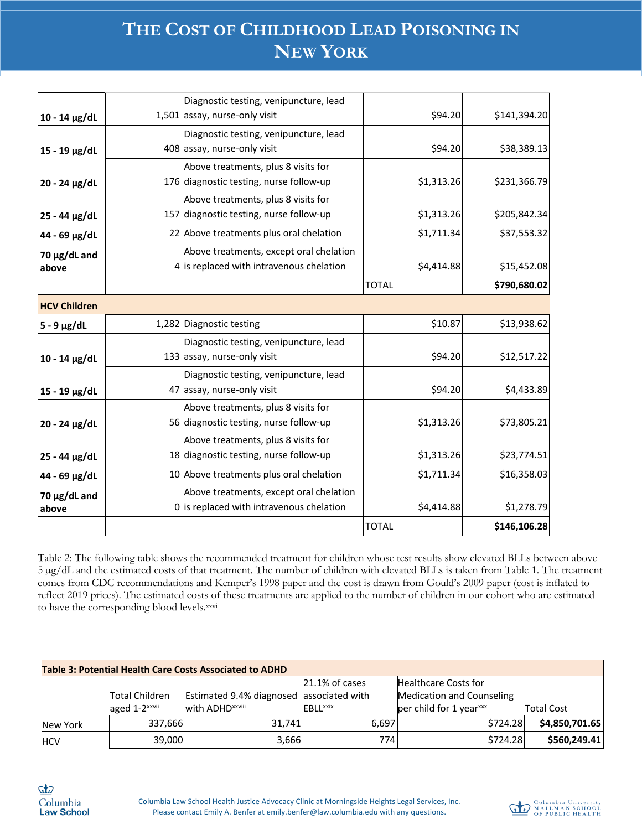|                     | Diagnostic testing, venipuncture, lead     |              |              |
|---------------------|--------------------------------------------|--------------|--------------|
| $10 - 14$ µg/dL     | 1,501 assay, nurse-only visit              | \$94.20      | \$141,394.20 |
|                     | Diagnostic testing, venipuncture, lead     |              |              |
| 15 - 19 μg/dL       | 408 assay, nurse-only visit                | \$94.20      | \$38,389.13  |
|                     | Above treatments, plus 8 visits for        |              |              |
| 20 - 24 µg/dL       | 176 diagnostic testing, nurse follow-up    | \$1,313.26   | \$231,366.79 |
|                     | Above treatments, plus 8 visits for        |              |              |
| 25 - 44 µg/dL       | 157 diagnostic testing, nurse follow-up    | \$1,313.26   | \$205,842.34 |
| 44 - 69 µg/dL       | 22 Above treatments plus oral chelation    | \$1,711.34   | \$37,553.32  |
| $70 \mu g/dL$ and   | Above treatments, except oral chelation    |              |              |
| above               | 4 is replaced with intravenous chelation   | \$4,414.88   | \$15,452.08  |
|                     |                                            | <b>TOTAL</b> | \$790,680.02 |
| <b>HCV Children</b> |                                            |              |              |
| $5 - 9$ µg/dL       | 1,282 Diagnostic testing                   | \$10.87      | \$13,938.62  |
|                     | Diagnostic testing, venipuncture, lead     |              |              |
| $10 - 14 \mu g/dL$  | 133 assay, nurse-only visit                | \$94.20      | \$12,517.22  |
|                     | Diagnostic testing, venipuncture, lead     |              |              |
| 15 - 19 μg/dL       | 47 assay, nurse-only visit                 | \$94.20      | \$4,433.89   |
|                     | Above treatments, plus 8 visits for        |              |              |
| 20 - 24 µg/dL       | 56 diagnostic testing, nurse follow-up     | \$1,313.26   | \$73,805.21  |
|                     | Above treatments, plus 8 visits for        |              |              |
| 25 - 44 µg/dL       | 18 diagnostic testing, nurse follow-up     | \$1,313.26   | \$23,774.51  |
| 44 - 69 µg/dL       | 10 Above treatments plus oral chelation    | \$1,711.34   | \$16,358.03  |
| $70 \mu g/dL$ and   | Above treatments, except oral chelation    |              |              |
| above               | $0$ is replaced with intravenous chelation | \$4,414.88   | \$1,278.79   |
|                     |                                            | <b>TOTAL</b> | \$146,106.28 |

Table 2: The following table shows the recommended treatment for children whose test results show elevated BLLs between above 5 µg/dL and the estimated costs of that treatment. The number of children with elevated BLLs is taken from Table 1. The treatment comes from CDC recommendations and Kemper's 1998 paper and the cost is drawn from Gould's 2009 paper (cost is inflated to reflect 2019 prices). The estimated costs of these treatments are applied to the number of children in our cohort who are estimated to have the corresponding blood levels.xxvi

| Table 3: Potential Health Care Costs Associated to ADHD |                                                    |                                                         |                                                                     |                                                                                                        |                |
|---------------------------------------------------------|----------------------------------------------------|---------------------------------------------------------|---------------------------------------------------------------------|--------------------------------------------------------------------------------------------------------|----------------|
|                                                         | <b>Total Children</b><br>aged 1-2 <sup>xxvii</sup> | Estimated 9.4% diagnosed<br>with ADHD <sup>xxviii</sup> | $21.1\%$ of cases<br>associated with<br><b>EBLL</b> <sup>xxix</sup> | <b>Healthcare Costs for</b><br><b>Medication and Counseling</b><br>per child for 1 year <sup>xxx</sup> | Total Cost     |
| New York                                                | 337,666                                            | 31,741                                                  | 6.697                                                               | \$724.28                                                                                               | \$4,850,701.65 |
| <b>HCV</b>                                              | 39,000                                             | 3,666                                                   | 774                                                                 | \$724.28                                                                                               | \$560,249.41   |

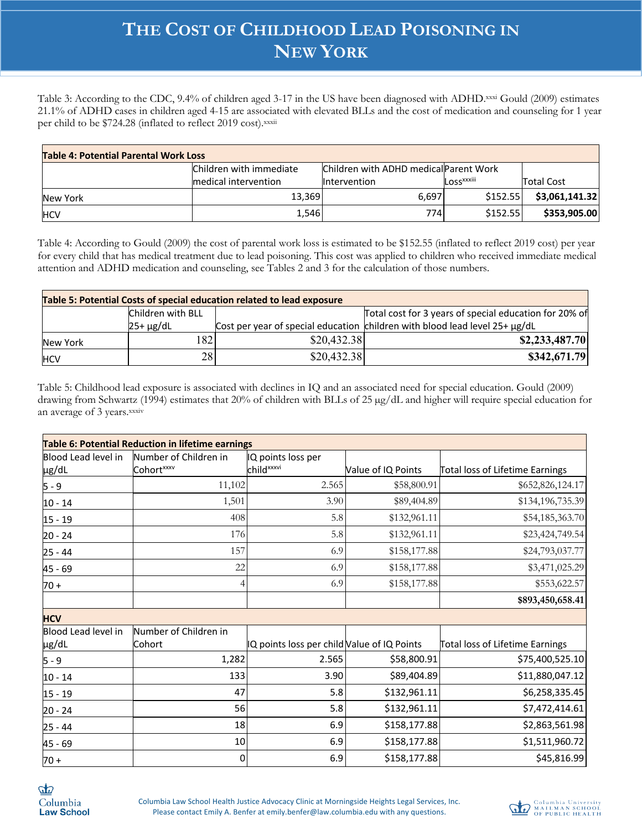Table 3: According to the CDC, 9.4% of children aged 3-17 in the US have been diagnosed with ADHD.xxxi Gould (2009) estimates 21.1% of ADHD cases in children aged 4-15 are associated with elevated BLLs and the cost of medication and counseling for 1 year per child to be \$724.28 (inflated to reflect 2019 cost).xxxii

| <b>Table 4: Potential Parental Work Loss</b> |                         |                                               |                        |                |  |  |
|----------------------------------------------|-------------------------|-----------------------------------------------|------------------------|----------------|--|--|
|                                              | Children with immediate | <b>Children with ADHD medical Parent Work</b> |                        |                |  |  |
|                                              | medical intervention    | <b>Intervention</b>                           | Loss <sup>xxxiii</sup> | Total Cost     |  |  |
| New York                                     | 13.369                  | 6,697                                         | \$152.55               | \$3,061,141.32 |  |  |
| <b>HCV</b>                                   | 1,546                   | 7741                                          | \$152.55               | \$353,905.00   |  |  |

Table 4: According to Gould (2009) the cost of parental work loss is estimated to be \$152.55 (inflated to reflect 2019 cost) per year for every child that has medical treatment due to lead poisoning. This cost was applied to children who received immediate medical attention and ADHD medication and counseling, see Tables 2 and 3 for the calculation of those numbers.

| Table 5: Potential Costs of special education related to lead exposure |                   |             |                                                                                   |  |
|------------------------------------------------------------------------|-------------------|-------------|-----------------------------------------------------------------------------------|--|
|                                                                        | Children with BLL |             | Total cost for 3 years of special education for 20% of                            |  |
|                                                                        | $25+ \mu g/dL$    |             | Cost per year of special education children with blood lead level $25 + \mu g/dL$ |  |
| New York                                                               | 1821              | \$20,432.38 | \$2,233,487.70                                                                    |  |
| <b>HCV</b>                                                             | 28                | \$20,432.38 | \$342,671.79                                                                      |  |

Table 5: Childhood lead exposure is associated with declines in IQ and an associated need for special education. Gould (2009) drawing from Schwartz (1994) estimates that 20% of children with BLLs of 25  $\mu$ g/dL and higher will require special education for an average of 3 years. xxxiv

|                              | <b>Table 6: Potential Reduction in lifetime earnings</b> |                                              |                    |                                 |
|------------------------------|----------------------------------------------------------|----------------------------------------------|--------------------|---------------------------------|
| Blood Lead level in<br>µg/dL | Number of Children in<br>Cohort <sup>xxxv</sup>          | IQ points loss per<br>child <sup>xxxvi</sup> | Value of IQ Points | Total loss of Lifetime Earnings |
| $5 - 9$                      | 11,102                                                   | 2.565                                        | \$58,800.91        | \$652,826,124.17                |
| $10 - 14$                    | 1,501                                                    | 3.90                                         | \$89,404.89        | \$134,196,735.39                |
| $15 - 19$                    | 408                                                      | 5.8                                          | \$132,961.11       | \$54,185,363.70                 |
| $20 - 24$                    | 176                                                      | 5.8                                          | \$132,961.11       | \$23,424,749.54                 |
| $25 - 44$                    | 157                                                      | 6.9                                          | \$158,177.88       | \$24,793,037.77                 |
| 45 - 69                      | 22                                                       | 6.9                                          | \$158,177.88       | \$3,471,025.29                  |
| $70 +$                       |                                                          | 6.9                                          | \$158,177.88       | \$553,622.57                    |
|                              |                                                          |                                              |                    | \$893,450,658.41                |
| <b>HCV</b>                   |                                                          |                                              |                    |                                 |
| Blood Lead level in          | Number of Children in                                    |                                              |                    |                                 |
| µg/dL                        | Cohort                                                   | IQ points loss per child Value of IQ Points  |                    | Total loss of Lifetime Earnings |
| $5 - 9$                      | 1,282                                                    | 2.565                                        | \$58,800.91        | \$75,400,525.10                 |
| $10 - 14$                    | 133                                                      | 3.90                                         | \$89,404.89        | \$11,880,047.12                 |
| $15 - 19$                    | 47                                                       | 5.8                                          | \$132,961.11       | \$6,258,335.45                  |
| $20 - 24$                    | 56                                                       | 5.8                                          | \$132,961.11       | \$7,472,414.61                  |
| $25 - 44$                    | 18                                                       | 6.9                                          | \$158,177.88       | \$2,863,561.98                  |
| 45 - 69                      | 10                                                       | 6.9                                          | \$158,177.88       | \$1,511,960.72                  |
| $70 +$                       | 0                                                        | 6.9                                          | \$158,177.88       | \$45,816.99                     |

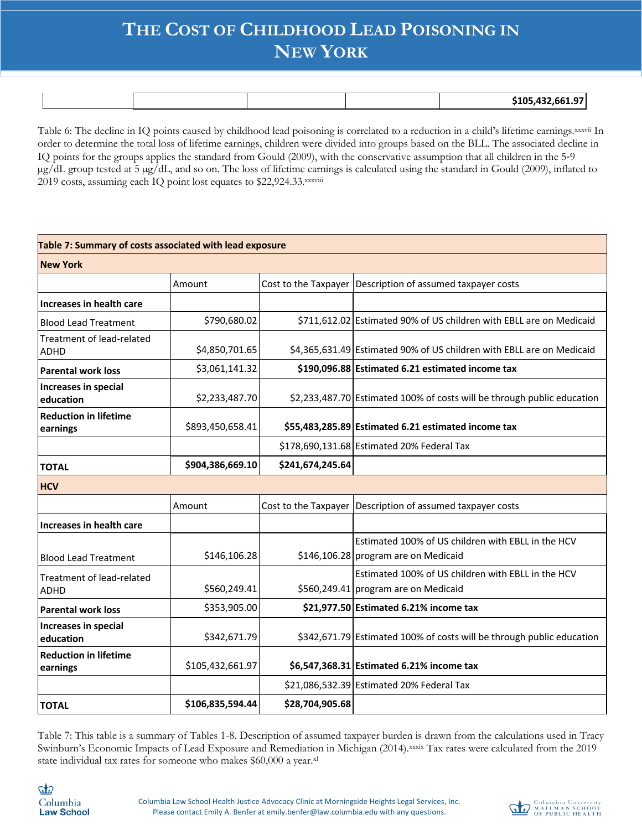|  |  | __<br>$^{\circ}$ 1 nC $_{\circ}$<br>$\sim$<br>− - -<br>,,,<br>. |
|--|--|-----------------------------------------------------------------|

Table 6: The decline in IQ points caused by childhood lead poisoning is correlated to a reduction in a child's lifetime earnings.xxxvii In order to determine the total loss of lifetime earnings, children were divided into groups based on the BLL. The associated decline in IQ points for the groups applies the standard from Gould (2009), with the conservative assumption that all children in the 5-9 µg/dL group tested at 5 µg/dL, and so on. The loss of lifetime earnings is calculated using the standard in Gould (2009), inflated to 2019 costs, assuming each IQ point lost equates to \$22,924.33.xxxviii

| Table 7: Summary of costs associated with lead exposure |                  |                  |                                                                                            |
|---------------------------------------------------------|------------------|------------------|--------------------------------------------------------------------------------------------|
| <b>New York</b>                                         |                  |                  |                                                                                            |
|                                                         | Amount           |                  | Cost to the Taxpayer Description of assumed taxpayer costs                                 |
| Increases in health care                                |                  |                  |                                                                                            |
| <b>Blood Lead Treatment</b>                             | \$790,680.02     |                  | \$711,612.02 Estimated 90% of US children with EBLL are on Medicaid                        |
| Treatment of lead-related<br><b>ADHD</b>                | \$4,850,701.65   |                  | \$4,365,631.49 Estimated 90% of US children with EBLL are on Medicaid                      |
| <b>Parental work loss</b>                               | \$3,061,141.32   |                  | \$190,096.88 Estimated 6.21 estimated income tax                                           |
| Increases in special<br>education                       | \$2,233,487.70   |                  | \$2,233,487.70 Estimated 100% of costs will be through public education                    |
| <b>Reduction in lifetime</b><br>earnings                | \$893,450,658.41 |                  | \$55,483,285.89 Estimated 6.21 estimated income tax                                        |
|                                                         |                  |                  | \$178,690,131.68 Estimated 20% Federal Tax                                                 |
| <b>TOTAL</b>                                            | \$904,386,669.10 | \$241,674,245.64 |                                                                                            |
| <b>HCV</b>                                              |                  |                  |                                                                                            |
|                                                         | Amount           |                  | Cost to the Taxpayer Description of assumed taxpayer costs                                 |
| Increases in health care                                |                  |                  |                                                                                            |
| <b>Blood Lead Treatment</b>                             | \$146,106.28     |                  | Estimated 100% of US children with EBLL in the HCV<br>\$146,106.28 program are on Medicaid |
| Treatment of lead-related                               |                  |                  | Estimated 100% of US children with EBLL in the HCV                                         |
| <b>ADHD</b>                                             | \$560,249.41     |                  | \$560,249.41 program are on Medicaid                                                       |
| <b>Parental work loss</b>                               | \$353,905.00     |                  | \$21,977.50 Estimated 6.21% income tax                                                     |
| Increases in special<br>education                       | \$342,671.79     |                  | \$342,671.79 Estimated 100% of costs will be through public education                      |
| <b>Reduction in lifetime</b><br>earnings                | \$105,432,661.97 |                  | \$6,547,368.31 Estimated 6.21% income tax                                                  |
|                                                         |                  |                  | \$21,086,532.39 Estimated 20% Federal Tax                                                  |
| <b>TOTAL</b>                                            | \$106,835,594.44 | \$28,704,905.68  |                                                                                            |

Table 7: This table is a summary of Tables 1-8. Description of assumed taxpayer burden is drawn from the calculations used in Tracy Swinburn's Economic Impacts of Lead Exposure and Remediation in Michigan (2014).xxxix Tax rates were calculated from the 2019 state individual tax rates for someone who makes \$60,000 a year.xl

 $\boldsymbol{d}$ Columbia **Law School** 

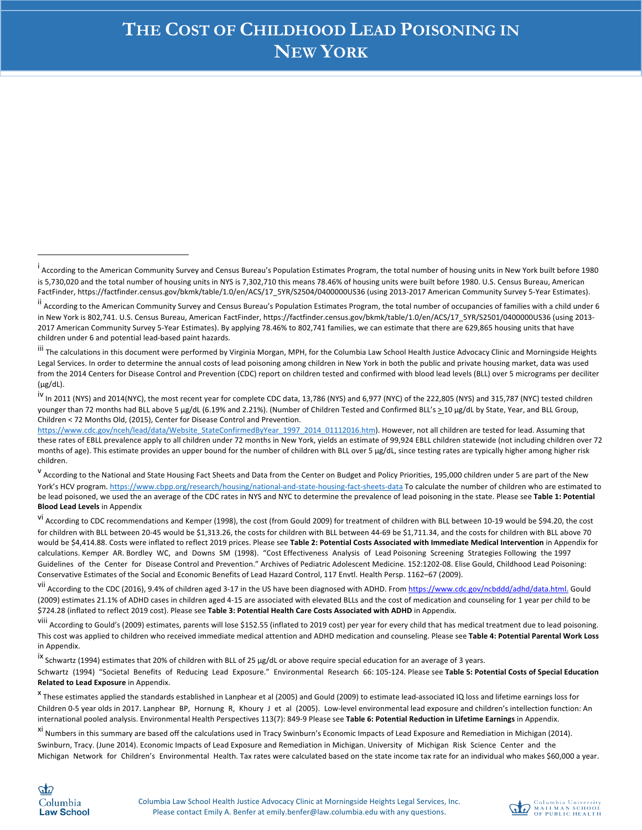iii The calculations in this document were performed by Virginia Morgan, MPH, for the Columbia Law School Health Justice Advocacy Clinic and Morningside Heights Legal Services. In order to determine the annual costs of lead poisoning among children in New York in both the public and private housing market, data was used from the 2014 Centers for Disease Control and Prevention (CDC) report on children tested and confirmed with blood lead levels (BLL) over 5 micrograms per deciliter (µg/dL).

iv In 2011 (NYS) and 2014(NYC), the most recent year for complete CDC data, 13,786 (NYS) and 6,977 (NYC) of the 222,805 (NYS) and 315,787 (NYC) tested children younger than 72 months had BLL above 5 µg/dL (6.19% and 2.21%). (Number of Children Tested and Confirmed BLL's  $\geq 10$  µg/dL by State, Year, and BLL Group, Children < 72 Months Old, (2015), Center for Disease Control and Prevention.

https://www.cdc.gov/nceh/lead/data/Website\_StateConfirmedByYear\_1997\_2014\_01112016.htm). However, not all children are tested for lead. Assuming that these rates of EBLL prevalence apply to all children under 72 months in New York, yields an estimate of 99,924 EBLL children statewide (not including children over 72 months of age). This estimate provides an upper bound for the number of children with BLL over 5 µg/dL, since testing rates are typically higher among higher risk children.

<sup>V</sup> According to the National and State Housing Fact Sheets and Data from the Center on Budget and Policy Priorities, 195,000 children under 5 are part of the New York's HCV program. https://www.cbpp.org/research/housing/national-and-state-housing-fact-sheets-data To calculate the number of children who are estimated to be lead poisoned, we used the an average of the CDC rates in NYS and NYC to determine the prevalence of lead poisoning in the state. Please see **Table 1: Potential Blood Lead Levels** in Appendix

vi According to CDC recommendations and Kemper (1998), the cost (from Gould 2009) for treatment of children with BLL between 10-19 would be \$94.20, the cost for children with BLL between 20-45 would be \$1,313.26, the costs for children with BLL between 44-69 be \$1,711.34, and the costs for children with BLL above 70 would be \$4,414.88. Costs were inflated to reflect 2019 prices. Please see **Table 2: Potential Costs Associated with Immediate Medical Intervention** in Appendix for calculations. Kemper AR. Bordley WC, and Downs SM (1998). "Cost Effectiveness Analysis of Lead Poisoning Screening Strategies Following the 1997 Guidelines of the Center for Disease Control and Prevention." Archives of Pediatric Adolescent Medicine. 152:1202-08. Elise Gould, Childhood Lead Poisoning: Conservative Estimates of the Social and Economic Benefits of Lead Hazard Control, 117 Envtl. Health Persp. 1162–67 (2009).

vii According to the CDC (2016), 9.4% of children aged 3-17 in the US have been diagnosed with ADHD. From https://www.cdc.gov/ncbddd/adhd/data.html. Gould (2009) estimates 21.1% of ADHD cases in children aged 4-15 are associated with elevated BLLs and the cost of medication and counseling for 1 year per child to be \$724.28 (inflated to reflect 2019 cost). Please see **Table 3: Potential Health Care Costs Associated with ADHD** in Appendix.

viii According to Gould's (2009) estimates, parents will lose \$152.55 (inflated to 2019 cost) per year for every child that has medical treatment due to lead poisoning. This cost was applied to children who received immediate medical attention and ADHD medication and counseling. Please see **Table 4: Potential Parental Work Loss**  in Appendix.

<sup>ix</sup> Schwartz (1994) estimates that 20% of children with BLL of 25 µg/dL or above require special education for an average of 3 years.

Schwartz (1994) "Societal Benefits of Reducing Lead Exposure." Environmental Research 66: 105-124. Please see **Table 5: Potential Costs of Special Education Related to Lead Exposure** in Appendix.

<sup>x</sup> These estimates applied the standards established in Lanphear et al (2005) and Gould (2009) to estimate lead-associated IQ loss and lifetime earnings loss for Children 0-5 year olds in 2017. Lanphear BP, Hornung R, Khoury J et al (2005). Low-level environmental lead exposure and children's intellection function: An international pooled analysis. Environmental Health Perspectives 113(7): 849-9 Please see **Table 6: Potential Reduction in Lifetime Earnings** in Appendix.

xi Numbers in this summary are based off the calculations used in Tracy Swinburn's Economic Impacts of Lead Exposure and Remediation in Michigan (2014). Swinburn, Tracy. (June 2014). Economic Impacts of Lead Exposure and Remediation in Michigan. University of Michigan Risk Science Center and the Michigan Network for Children's Environmental Health. Tax rates were calculated based on the state income tax rate for an individual who makes \$60,000 a year.



<sup>&</sup>lt;sub>.</sub><br>According to the American Community Survey and Census Bureau's Population Estimates Program, the total number of housing units in New York built before 1980 is 5,730,020 and the total number of housing units in NYS is 7,302,710 this means 78.46% of housing units were built before 1980. U.S. Census Bureau, American FactFinder, https://factfinder.census.gov/bkmk/table/1.0/en/ACS/17\_5YR/S2504/0400000US36 (using 2013-2017 American Community Survey 5-Year Estimates).

<sup>&</sup>lt;sup>ii</sup> According to the American Community Survey and Census Bureau's Population Estimates Program, the total number of occupancies of families with a child under 6 in New York is 802,741. U.S. Census Bureau, American FactFinder, https://factfinder.census.gov/bkmk/table/1.0/en/ACS/17\_5YR/S2501/0400000US36 (using 2013- 2017 American Community Survey 5-Year Estimates). By applying 78.46% to 802,741 families, we can estimate that there are 629,865 housing units that have children under 6 and potential lead-based paint hazards.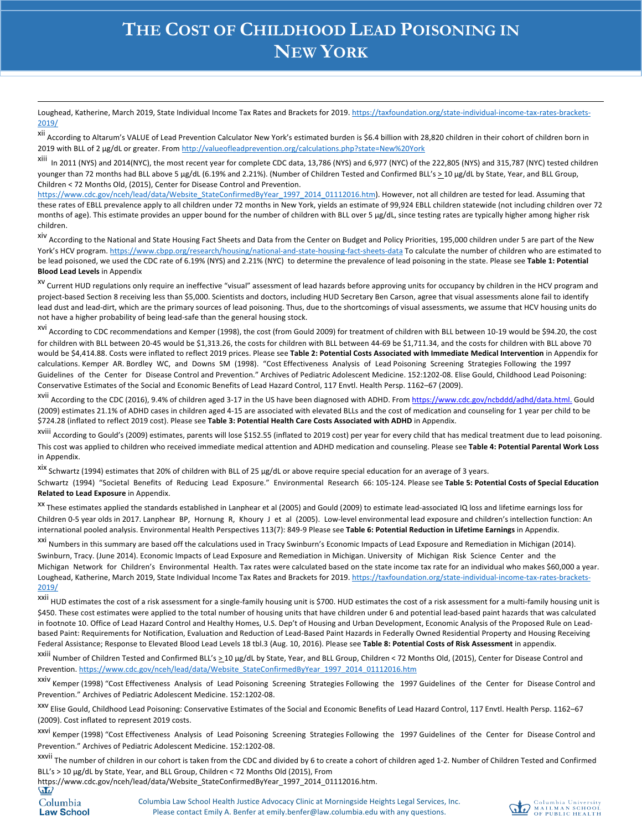Loughead, Katherine, March 2019, State Individual Income Tax Rates and Brackets for 2019. https://taxfoundation.org/state-individual-income-tax-rates-brackets-2019/

xii According to Altarum's VALUE of Lead Prevention Calculator New York's estimated burden is \$6.4 billion with 28,820 children in their cohort of children born in 2019 with BLL of 2 µg/dL or greater. From http://valueofleadprevention.org/calculations.php?state=New%20York

xiii In 2011 (NYS) and 2014(NYC), the most recent year for complete CDC data, 13,786 (NYS) and 6,977 (NYC) of the 222,805 (NYS) and 315,787 (NYC) tested children younger than 72 months had BLL above 5 µg/dL (6.19% and 2.21%). (Number of Children Tested and Confirmed BLL's  $\geq 10$  µg/dL by State, Year, and BLL Group, Children < 72 Months Old, (2015), Center for Disease Control and Prevention.

https://www.cdc.gov/nceh/lead/data/Website\_StateConfirmedByYear\_1997\_2014\_01112016.htm). However, not all children are tested for lead. Assuming that these rates of EBLL prevalence apply to all children under 72 months in New York, yields an estimate of 99,924 EBLL children statewide (not including children over 72 months of age). This estimate provides an upper bound for the number of children with BLL over 5 µg/dL, since testing rates are typically higher among higher risk children.

xiv According to the National and State Housing Fact Sheets and Data from the Center on Budget and Policy Priorities, 195,000 children under 5 are part of the New York's HCV program. https://www.cbpp.org/research/housing/national-and-state-housing-fact-sheets-data To calculate the number of children who are estimated to be lead poisoned, we used the CDC rate of 6.19% (NYS) and 2.21% (NYC) to determine the prevalence of lead poisoning in the state. Please see **Table 1: Potential Blood Lead Levels** in Appendix

<sup>XV</sup> Current HUD regulations only require an ineffective "visual" assessment of lead hazards before approving units for occupancy by children in the HCV program and project-based Section 8 receiving less than \$5,000. Scientists and doctors, including HUD Secretary Ben Carson, agree that visual assessments alone fail to identify lead dust and lead-dirt, which are the primary sources of lead poisoning. Thus, due to the shortcomings of visual assessments, we assume that HCV housing units do not have a higher probability of being lead-safe than the general housing stock.

xvi According to CDC recommendations and Kemper (1998), the cost (from Gould 2009) for treatment of children with BLL between 10-19 would be \$94.20, the cost for children with BLL between 20-45 would be \$1,313.26, the costs for children with BLL between 44-69 be \$1,711.34, and the costs for children with BLL above 70 would be \$4,414.88. Costs were inflated to reflect 2019 prices. Please see **Table 2: Potential Costs Associated with Immediate Medical Intervention** in Appendix for calculations. Kemper AR. Bordley WC, and Downs SM (1998). "Cost Effectiveness Analysis of Lead Poisoning Screening Strategies Following the 1997 Guidelines of the Center for Disease Control and Prevention." Archives of Pediatric Adolescent Medicine. 152:1202-08. Elise Gould, Childhood Lead Poisoning: Conservative Estimates of the Social and Economic Benefits of Lead Hazard Control, 117 Envtl. Health Persp. 1162–67 (2009).

xvii According to the CDC (2016), 9.4% of children aged 3-17 in the US have been diagnosed with ADHD. From https://www.cdc.gov/ncbddd/adhd/data.html. Gould (2009) estimates 21.1% of ADHD cases in children aged 4-15 are associated with elevated BLLs and the cost of medication and counseling for 1 year per child to be \$724.28 (inflated to reflect 2019 cost). Please see **Table 3: Potential Health Care Costs Associated with ADHD** in Appendix.

xviii According to Gould's (2009) estimates, parents will lose \$152.55 (inflated to 2019 cost) per year for every child that has medical treatment due to lead poisoning. This cost was applied to children who received immediate medical attention and ADHD medication and counseling. Please see **Table 4: Potential Parental Work Loss**  in Appendix.

xix Schwartz (1994) estimates that 20% of children with BLL of 25 µg/dL or above require special education for an average of 3 years.

Schwartz (1994) "Societal Benefits of Reducing Lead Exposure." Environmental Research 66: 105-124. Please see **Table 5: Potential Costs of Special Education Related to Lead Exposure** in Appendix.

xx These estimates applied the standards established in Lanphear et al (2005) and Gould (2009) to estimate lead-associated IQ loss and lifetime earnings loss for Children 0-5 year olds in 2017. Lanphear BP, Hornung R, Khoury J et al (2005). Low-level environmental lead exposure and children's intellection function: An international pooled analysis. Environmental Health Perspectives 113(7): 849-9 Please see **Table 6: Potential Reduction in Lifetime Earnings** in Appendix.

xxi Numbers in this summary are based off the calculations used in Tracy Swinburn's Economic Impacts of Lead Exposure and Remediation in Michigan (2014).

Swinburn, Tracy. (June 2014). Economic Impacts of Lead Exposure and Remediation in Michigan. University of Michigan Risk Science Center and the Michigan Network for Children's Environmental Health. Tax rates were calculated based on the state income tax rate for an individual who makes \$60,000 a year. Loughead, Katherine, March 2019, State Individual Income Tax Rates and Brackets for 2019. https://taxfoundation.org/state-individual-income-tax-rates-brackets-2019/

xxii HUD estimates the cost of a risk assessment for a single-family housing unit is \$700. HUD estimates the cost of a risk assessment for a multi-family housing unit is \$450. These cost estimates were applied to the total number of housing units that have children under 6 and potential lead-based paint hazards that was calculated in footnote 10. Office of Lead Hazard Control and Healthy Homes, U.S. Dep't of Housing and Urban Development, Economic Analysis of the Proposed Rule on Leadbased Paint: Requirements for Notification, Evaluation and Reduction of Lead-Based Paint Hazards in Federally Owned Residential Property and Housing Receiving Federal Assistance; Response to Elevated Blood Lead Levels 18 tbl.3 (Aug. 10, 2016). Please see **Table 8: Potential Costs of Risk Assessment** in appendix.

xxiii Number of Children Tested and Confirmed BLL's > 10 μg/dL by State, Year, and BLL Group, Children < 72 Months Old, (2015), Center for Disease Control and Prevention. https://www.cdc.gov/nceh/lead/data/Website\_StateConfirmedByYear\_1997\_2014\_01112016.htm

xxiv Kemper (1998) "Cost Effectiveness Analysis of Lead Poisoning Screening Strategies Following the 1997 Guidelines of the Center for Disease Control and Prevention." Archives of Pediatric Adolescent Medicine. 152:1202-08.

xxv Elise Gould, Childhood Lead Poisoning: Conservative Estimates of the Social and Economic Benefits of Lead Hazard Control, 117 Envtl. Health Persp. 1162–67 (2009). Cost inflated to represent 2019 costs.

xxvi Kemper (1998) "Cost Effectiveness Analysis of Lead Poisoning Screening Strategies Following the 1997 Guidelines of the Center for Disease Control and Prevention." Archives of Pediatric Adolescent Medicine. 152:1202-08.

xxvii The number of children in our cohort is taken from the CDC and divided by 6 to create a cohort of children aged 1-2. Number of Children Tested and Confirmed BLL's > 10 µg/dL by State, Year, and BLL Group, Children < 72 Months Old (2015), From

https://www.cdc.gov/nceh/lead/data/Website\_StateConfirmedByYear\_1997\_2014\_01112016.htm.

Columbia Law School Health Justice Advocacy Clinic at Morningside Heights Legal Services, Inc. Please contact Emily A. Benfer at emily.benfer@law.columbia.edu with any questions.